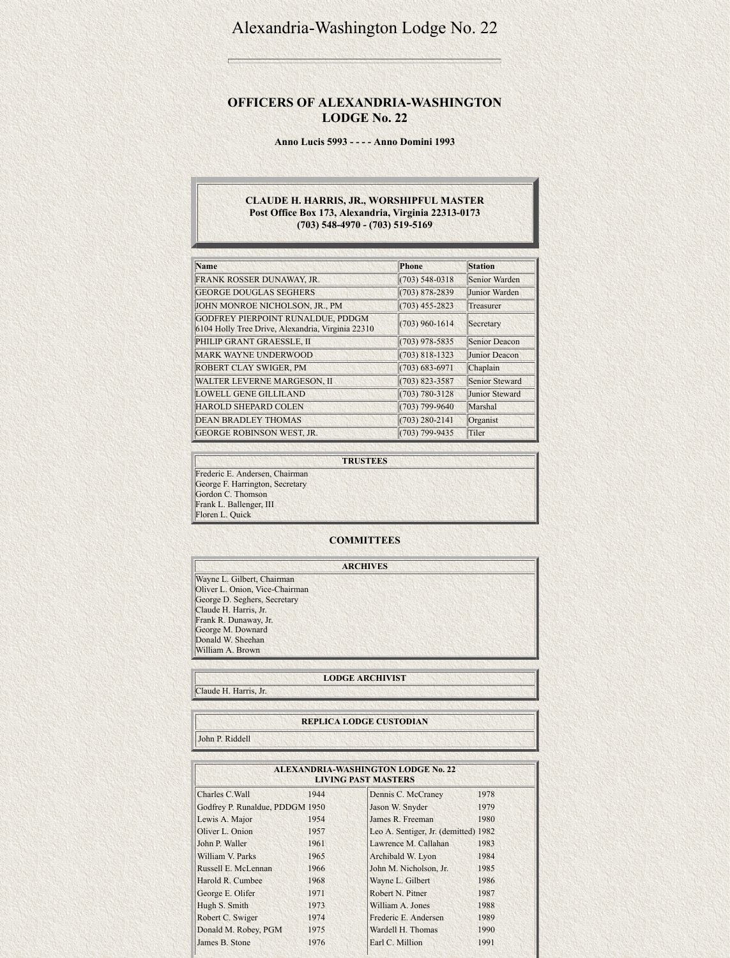# Alexandria-Washington Lodge No. 22

## **OFFICERS OF ALEXANDRIA-WASHINGTON LODGE No. 22**

**Anno Lucis 5993 - - - - Anno Domini 1993**

### **CLAUDE H. HARRIS, JR., WORSHIPFUL MASTER Post Office Box 173, Alexandria, Virginia 22313-0173 (703) 548-4970 - (703) 519-5169**

| <b>Name</b>                                                                            | Phone              | <b>Station</b>       |
|----------------------------------------------------------------------------------------|--------------------|----------------------|
| FRANK ROSSER DUNAWAY, JR.                                                              | $(703)$ 548-0318   | Senior Warden        |
| <b>GEORGE DOUGLAS SEGHERS</b>                                                          | $(703) 878 - 2839$ | Junior Warden        |
| JOHN MONROE NICHOLSON, JR., PM                                                         | $(703)$ 455-2823   | Treasurer            |
| GODFREY PIERPOINT RUNALDUE, PDDGM<br>6104 Holly Tree Drive, Alexandria, Virginia 22310 | $(703)$ 960-1614   | Secretary            |
| PHILIP GRANT GRAESSLE, II                                                              | $(703)$ 978-5835   | <b>Senior Deacon</b> |
| <b>MARK WAYNE UNDERWOOD</b>                                                            | $(703) 818 - 1323$ | Junior Deacon        |
| ROBERT CLAY SWIGER, PM                                                                 | $(703) 683 - 6971$ | Chaplain             |
| <b>WALTER LEVERNE MARGESON, II</b>                                                     | $(703) 823 - 3587$ | Senior Steward       |
| <b>LOWELL GENE GILLILAND</b>                                                           | $(703) 780 - 3128$ | Junior Steward       |
| <b>HAROLD SHEPARD COLEN</b>                                                            | $(703) 799 - 9640$ | Marshal              |
| <b>DEAN BRADLEY THOMAS</b>                                                             | $(703)$ 280-2141   | Organist             |
| <b>GEORGE ROBINSON WEST, JR.</b>                                                       | $(703) 799 - 9435$ | Tiler                |

### **ALEXANDRIA-WASHINGTON LODGE No. 22 LIVING PAST MASTERS** Charles C.Wall 1944 Godfrey P. Runaldue, PDDGM 1950 Lewis A. Major 1954 Oliver L. Onion 1957 John P. Waller 1961 William V. Parks 1965 Russell E. McLennan 1966 Harold R. Cumbee 1968 George E. Olifer 1971 Hugh S. Smith 1973 Robert C. Swiger 1974 Donald M. Robey, PGM 1975 Dennis C. McCraney 1978 Jason W. Snyder 1979 James R. Freeman 1980 Leo A. Sentiger, Jr. (demitted) 1982 Lawrence M. Callahan 1983 Archibald W. Lyon 1984 John M. Nicholson, Jr. 1985 Wayne L. Gilbert 1986 Robert N. Pitner 1987 William A. Jones 1988 Frederic E. Andersen 1989 Wardell H. Thomas 1990

Earl C. Million 1991

**TRUSTEES** Frederic E. Andersen, Chairman George F. Harrington, Secretary Gordon C. Thomson Frank L. Ballenger, III Floren L. Quick

**COMMITTEES**

|                                | <b>ARCHIVES</b> |  |  |
|--------------------------------|-----------------|--|--|
| Wayne L. Gilbert, Chairman     |                 |  |  |
| Oliver L. Onion, Vice-Chairman |                 |  |  |
| George D. Seghers, Secretary   |                 |  |  |
| Claude H. Harris, Jr.          |                 |  |  |
| Frank R. Dunaway, Jr.          |                 |  |  |
| George M. Downard              |                 |  |  |
| Donald W. Sheehan              |                 |  |  |
|                                |                 |  |  |

William A. Brown

L.

### **LODGE ARCHIVIST**

Claude H. Harris, Jr.

### **REPLICA LODGE CUSTODIAN**

John P. Riddell

James B. Stone 1976